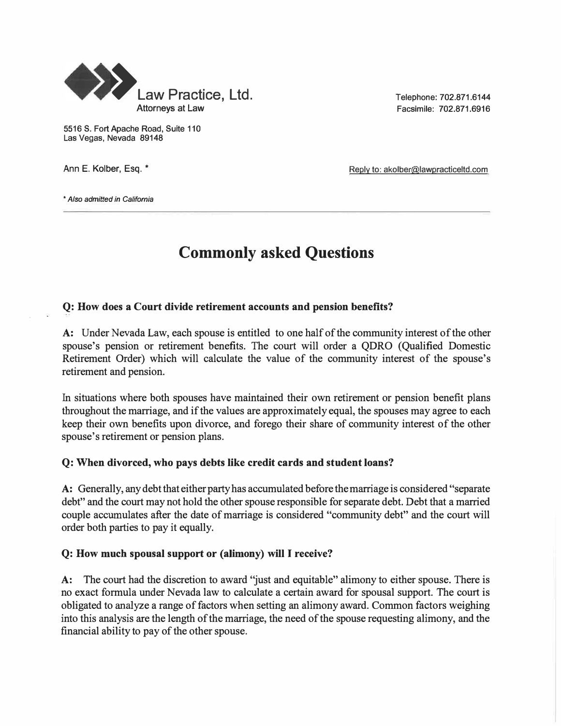

5516 S. Fort Apache Road, Suite 110 Las Vegas, Nevada 89148

Telephone: 702.871.6144 Facsimile: 702.871.6916

Ann E. Kolber, Esq. \* The Collection of the Collection of the Reply to: akolber@lawpracticeltd.com

• *Also admitted in California*

## **Commonly asked Questions**

#### **Q: How does a Court divide retirement accounts and pension benefits?**

A: Under Nevada Law, each spouse is entitled to one half of the community interest of the other spouse's pension or retirement benefits. The court will order a QDRO (Qualified Domestic Retirement Order) which will calculate the value of the community interest of the spouse's retirement and pension.

In situations where both spouses have maintained their own retirement or pension benefit plans throughout the marriage, and if the values are approximately equal, the spouses may agree to each keep their own benefits upon divorce, and forego their share of community interest of the other spouse's retirement or pension plans.

#### **Q: When divorced, who pays debts like credit cards and student loans?**

A: Generally, any debt that either party has accumulated before the marriage is considered "separate debt" and the court may not hold the other spouse responsible for separate debt. Debt that a married couple accumulates after the date of marriage is considered "community debt" and the court will order both parties to pay it equally.

#### **Q: How much spousal support or (alimony) will** I **receive?**

A: The court had the discretion to award "just and equitable" alimony to either spouse. There is no exact formula under Nevada law to calculate a certain award for spousal support. The court is obligated to analyze a range of factors when setting an alimony award. Common factors weighing into this analysis are the length of the marriage, the need of the spouse requesting alimony, and the financial ability to pay of the other spouse.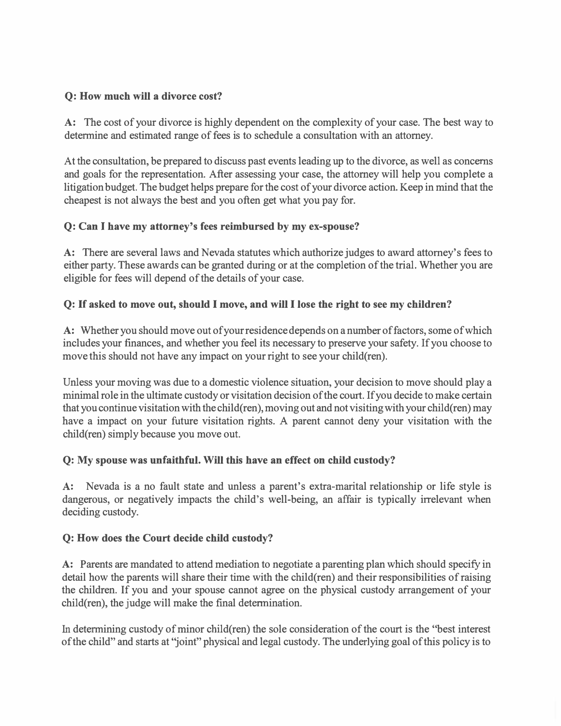#### **Q: How much will a divorce cost?**

A: The cost of your divorce is highly dependent on the complexity of your case. The best way to determine and estimated range of fees is to schedule a consultation with an attorney.

At the consultation, be prepared to discuss past events leading up to the divorce, as well as concerns and goals for the representation. After assessing your case, the attorney will help you complete a litigation budget. The budget helps prepare for the cost of your divorce action. Keep in mind that the cheapest is not always the best and you often get what you pay for.

### **Q: Can I have my attorney's fees reimbursed by my ex-spouse?**

A: There are several laws and Nevada statutes which authorize judges to award attorney's fees to either party. These awards can be granted during or at the completion of the trial. Whether you are eligible for fees will depend of the details of your case.

### **Q:** If **asked to move out, should** I **move, and will** I **lose the right to see my children?**

A: Whether you should move out of your residence depends on a number of factors, some of which includes your finances, and whether you feel its necessary to preserve your safety. If you choose to move this should not have any impact on your right to see your child(ren).

Unless your moving was due to a domestic violence situation, your decision to move should play a minimal role in the ultimate custody or visitation decision of the court. If you decide to make certain that you continue visitation with the child(ren), moving out and not visiting with your child(ren) may have a impact on your future visitation rights. A parent cannot deny your visitation with the child(ren) simply because you move out.

### **Q: My spouse was unfaithful. Will this have an effect on child custody?**

**A:** Nevada is a no fault state and unless a parent's extra-marital relationship or life style is dangerous, or negatively impacts the child's well-being, an affair is typically irrelevant when deciding custody.

### **Q: How does the Court decide child custody?**

A: Parents are mandated to attend mediation to negotiate a parenting plan which should specify in detail how the parents will share their time with the child(ren) and their responsibilities of raising the children. If you and your spouse cannot agree on the physical custody arrangement of your child(ren), the judge will make the final determination.

In determining custody of minor child(ren) the sole consideration of the court is the ''best interest of the child" and starts at "joint" physical and legal custody. The underlying goal of this policy is to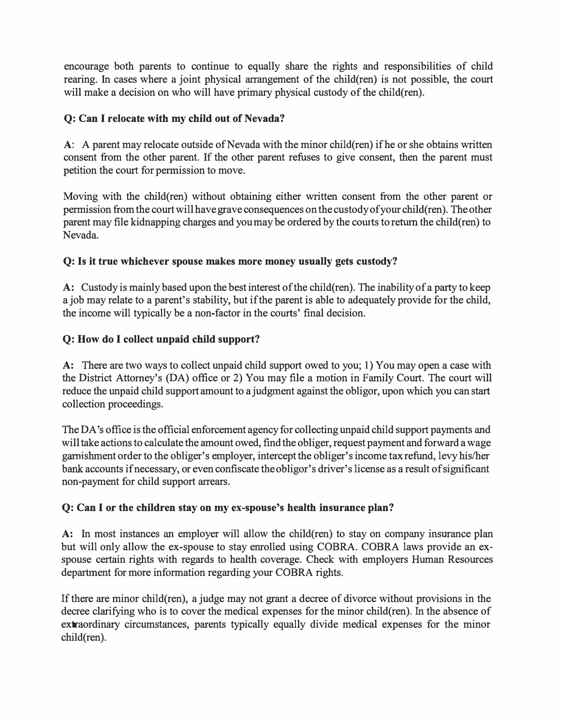encourage both parents to continue to equally share the rights and responsibilities of child rearing. In cases where a joint physical arrangement of the child(ren) is not possible, the court will make a decision on who will have primary physical custody of the child(ren).

#### **Q: Can I relocate with my child out of Nevada?**

A: A parent may relocate outside of Nevada with the minor child(ren) if he or she obtains written consent from the other parent. If the other parent refuses to give consent, then the parent must petition the court for permission to move.

Moving with the child(ren) without obtaining either written consent from the other parent or permission fromthe courtwill havegrave consequences on the custody ofyour child(ren). The other parent may file kidnapping charges and you may be ordered by the courts to return the child(ren) to Nevada.

#### **Q: Is it true whichever spouse makes more money usually gets custody?**

A: Custody is mainly based upon the best interest of the child(ren). The inability of a party to keep a job may relate to a parent's stability, but ifthe parent is able to adequately provide for the child, the income will typically be a non-factor in the courts' final decision.

#### **Q: How do I collect unpaid child support?**

**A:** There are two ways to collect unpaid child support owed to you; 1) You may open a case with the District Attorney's (DA) office or 2) You may file a motion in Family Court. The court will reduce the unpaid child support amount to a judgment against the obligor, upon which you can start collection proceedings.

The DA's office is the official enforcement agency for collecting unpaid child support payments and will take actions to calculate the amount owed, find the obliger, request payment and forward a wage garnishment order to the obliger's employer, intercept the obliger'sincome tax refund, levy his/her bank accounts if necessary, or even confiscate the obligor's driver's license as a result of significant non-payment for child support arrears.

#### **Q: Can I or the children stay on my ex-spouse's health insurance plan?**

A: In most instances an employer will allow the child(ren) to stay on company insurance plan but will only allow the ex-spouse to stay enrolled using COBRA. COBRA laws provide an exspouse certain rights with regards to health coverage. Check with employers Human Resources department for more information regarding your COBRA rights.

If there are minor child(ren), a judge may not grant a decree of divorce without provisions in the decree clarifying who is to cover the medical expenses for the minor child(ren). In the absence of extraordinary circumstances, parents typically equally divide medical expenses for the minor child(ren).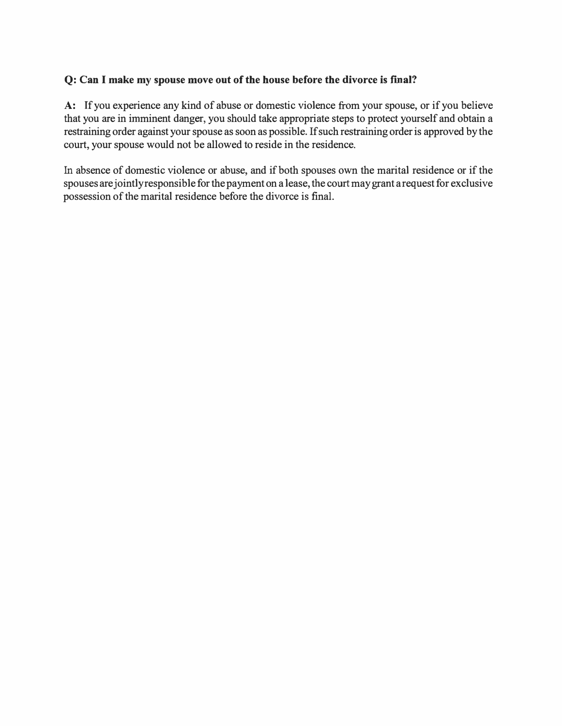#### **Q: Can I make my spouse move out of the house before the divorce is fmal?**

**A:** If you experience any kind of abuse or domestic violence from your spouse, or if you believe that you are in imminent danger, you should take appropriate steps to protect yourself and obtain a restraining order against your spouse as soon as possible. If such restraining order is approved by the court, your spouse would not be allowed to reside in the residence.

In absence of domestic violence or abuse, and if both spouses own the marital residence or if the spouses are jointly responsible for the payment on a lease, the court may grant a request for exclusive possession of the marital residence before the divorce is final.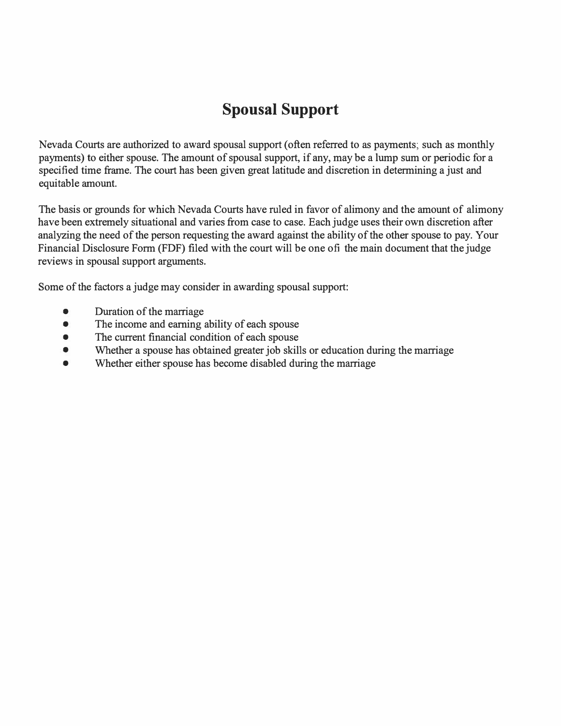## **Spousal Support**

Nevada Courts are authorized to award spousal support ( often referred to as payments; such as monthly payments) to either spouse. The amount of spousal support, if any, may be a lump sum or periodic for a specified time frame. The court has been given great latitude and discretion in determining a just and equitable amount.

The basis or grounds for which Nevada Courts have ruled in favor of alimony and the amount of alimony have been extremely situational and varies from case to case. Each judge uses their own discretion after analyzing the need of the person requesting the award against the ability of the other spouse to pay. Your Financial Disclosure Form (FDF) filed with the court will be one of the main document that the judge reviews in spousal support arguments.

Some of the factors a judge may consider in awarding spousal support:

- Duration of the marriage
- The income and earning ability of each spouse
- The current financial condition of each spouse
- Whether a spouse has obtained greater job skills or education during the marriage
- Whether either spouse has become disabled during the marriage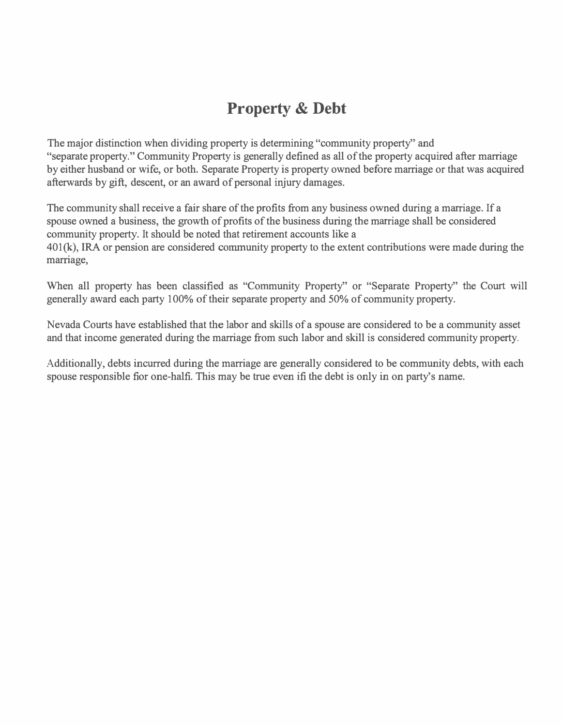## **Property & Debt**

The major distinction when dividing property is determining "community property'' and "separate property." Community Property is generally defined as all of the property acquired after marriage by either husband or wife, or both. Separate Property is property owned before marriage or that was acquired afterwards by gift, descent, or an award of personal injury damages.

The community shall receive a fair share of the profits from any business owned during a marriage. If a spouse owned a business, the growth of profits of the business during the marriage shall be considered community property. It should be noted that retirement accounts like a 401 (k), IRA or pension are considered community property to the extent contributions were made during the marriage,

When all property has been classified as "Community Property" or "Separate Property" the Court will generally award each party 100% of their separate property and 50% of community property.

Nevada Courts have established that the labor and skills of a spouse are considered to be a community asset and that income generated during the marriage from such labor and skill is considered community property.

Additionally, debts incurred during the marriage are generally considered to be community debts, with each spouse responsible for one-half. This may be true even if the debt is only in on party's name.